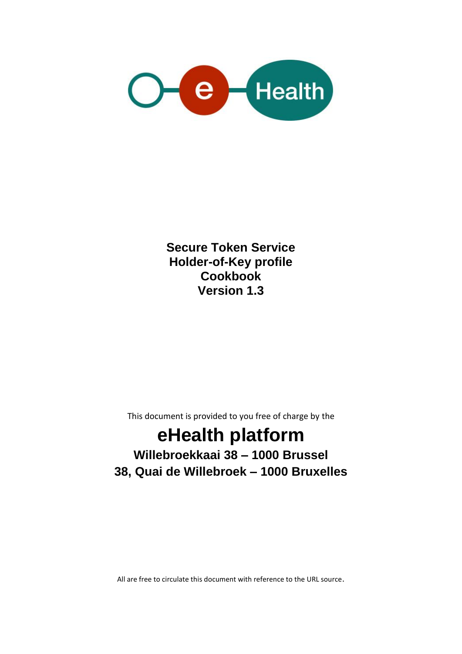

**Secure Token Service Holder-of-Key profile Cookbook Version 1.3**

This document is provided to you free of charge by the

# **eHealth platform Willebroekkaai 38 – 1000 Brussel 38, Quai de Willebroek – 1000 Bruxelles**

All are free to circulate this document with reference to the URL source.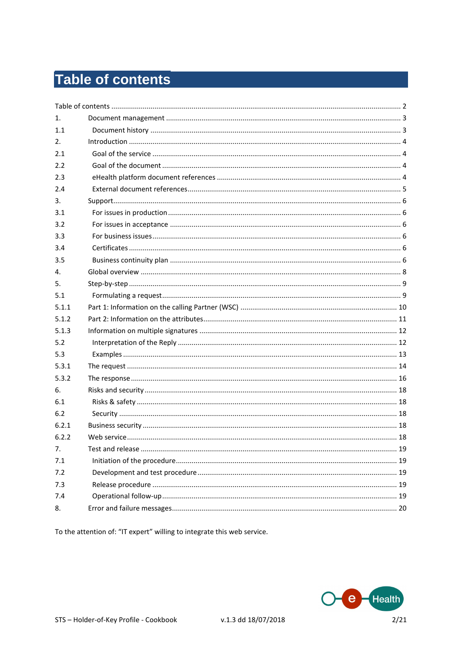# Table of contents

| 19 |
|----|
|    |
|    |
|    |
|    |
|    |
|    |

To the attention of: "IT expert" willing to integrate this web service.

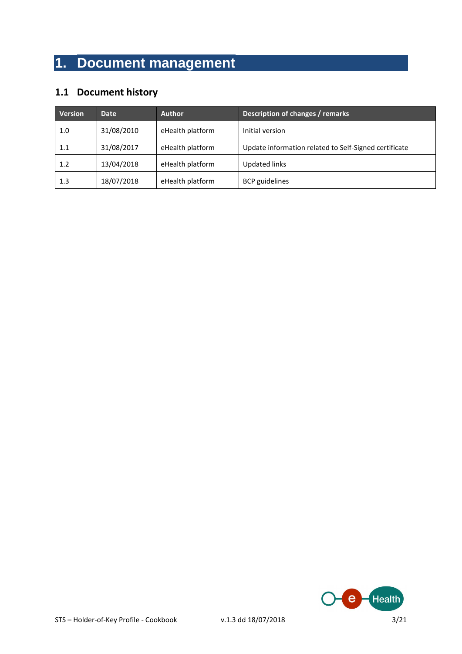# **1. Document management**

## **1.1 Document history**

| <b>Version</b> | Date       | <b>Author</b>    | Description of changes / remarks                      |
|----------------|------------|------------------|-------------------------------------------------------|
| 1.0            | 31/08/2010 | eHealth platform | Initial version                                       |
| 1.1            | 31/08/2017 | eHealth platform | Update information related to Self-Signed certificate |
| 1.2            | 13/04/2018 | eHealth platform | <b>Updated links</b>                                  |
| 1.3            | 18/07/2018 | eHealth platform | <b>BCP</b> guidelines                                 |

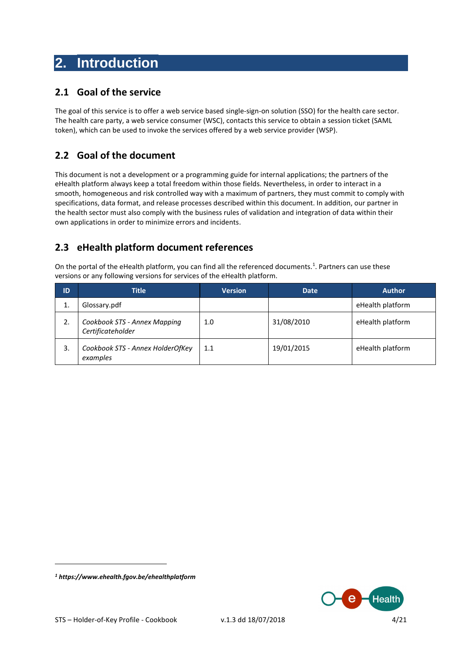# **2. Introduction**

### **2.1 Goal of the service**

The goal of this service is to offer a web service based single-sign-on solution (SSO) for the health care sector. The health care party, a web service consumer (WSC), contacts this service to obtain a session ticket (SAML token), which can be used to invoke the services offered by a web service provider (WSP).

## **2.2 Goal of the document**

This document is not a development or a programming guide for internal applications; the partners of the eHealth platform always keep a total freedom within those fields. Nevertheless, in order to interact in a smooth, homogeneous and risk controlled way with a maximum of partners, they must commit to comply with specifications, data format, and release processes described within this document. In addition, our partner in the health sector must also comply with the business rules of validation and integration of data within their own applications in order to minimize errors and incidents.

## **2.3 eHealth platform document references**

On the portal of the eHealth platform, you can find all the referenced documents.<sup>1</sup>. Partners can use these versions or any following versions for services of the eHealth platform.

| ID | <b>Title</b>                                      | <b>Version</b> | <b>Date</b> | <b>Author</b>    |
|----|---------------------------------------------------|----------------|-------------|------------------|
|    | Glossary.pdf                                      |                |             | eHealth platform |
| 2. | Cookbook STS - Annex Mapping<br>Certificateholder | 1.0            | 31/08/2010  | eHealth platform |
| 3. | Cookbook STS - Annex HolderOfKey<br>examples      | 1.1            | 19/01/2015  | eHealth platform |



 $\overline{a}$ 

*<sup>1</sup> <https://www.ehealth.fgov.be/ehealthplatform>*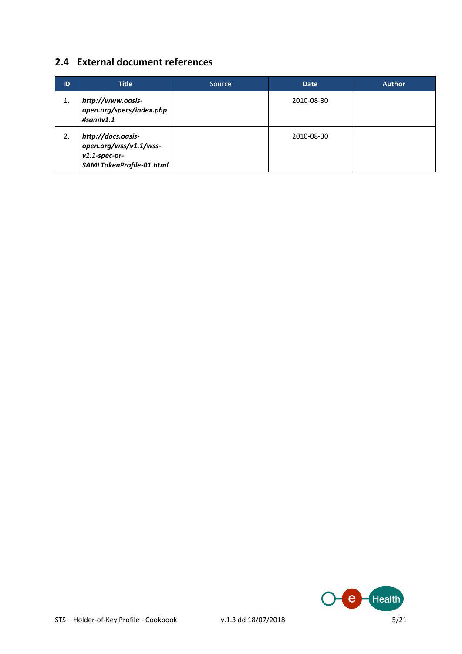## **2.4 External document references**

| ID | <b>Title</b>                                                                                 | Source | <b>Date</b> | <b>Author</b> |
|----|----------------------------------------------------------------------------------------------|--------|-------------|---------------|
| 1. | http://www.oasis-<br>open.org/specs/index.php<br>#sam/v1.1                                   |        | 2010-08-30  |               |
| 2. | http://docs.oasis-<br>open.org/wss/v1.1/wss-<br>$v1.1$ -spec-pr-<br>SAMLTokenProfile-01.html |        | 2010-08-30  |               |

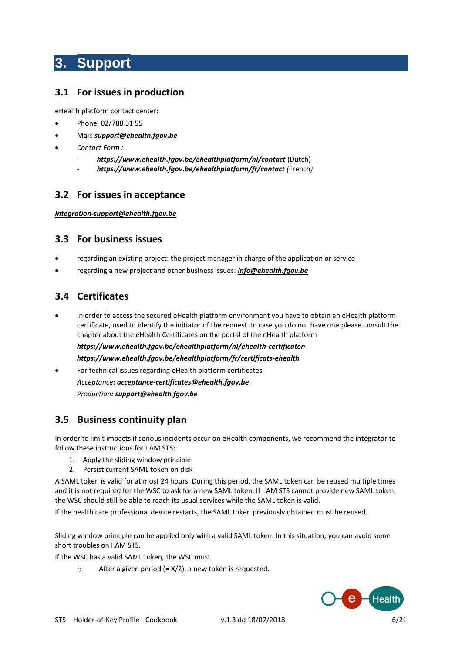# **3. Support**

### **3.1 For issues in production**

eHealth platform contact center:

- Phone: 02/788 51 55
- Mail: *[support@ehealth.fgov.be](mailto:support@ehealth.fgov.be)*
- *Contact Form :*
	- *<https://www.ehealth.fgov.be/ehealthplatform/nl/contact>* (Dutch)
	- *<https://www.ehealth.fgov.be/ehealthplatform/fr/contact> (*French*)*

### **3.2 For issues in acceptance**

#### *[Integration-support@ehealth.fgov.be](mailto:Integration-support@ehealth.fgov.be)*

#### **3.3 For business issues**

- regarding an existing project: the project manager in charge of the application or service
- regarding a new project and other business issues: *[info@ehealth.fgov.be](mailto:info@ehealth.fgov.be)*

### **3.4 Certificates**

 In order to access the secured eHealth platform environment you have to obtain an eHealth platform certificate, used to identify the initiator of the request. In case you do not have one please consult the chapter about the eHealth Certificates on the portal of the eHealth platform *[https://www.ehealth.fgov.be/ehealthplatform/nl/ehealth-certificaten](https://www.ehealth.fgov.be/ehealthplatform/nl/search?q=&filter%5Bplatform_service%3A19842c7fad26fe4e90179efc7895851fb9f086fb%5D=on)*

*[https://www.ehealth.fgov.be/ehealthplatform/fr/certificats-ehealth](https://www.ehealth.fgov.be/ehealthplatform/fr/search?q=&filter%5Bplatform_service%3A19842c7fad26fe4e90179efc7895851fb9f086fb%5D=on)*

 For technical issues regarding eHealth platform certificates *Acceptance: [acceptance-certificates@ehealth.fgov.be](mailto:acceptance-certificates@ehealth.fgov.be) Production[: support@ehealth.fgov.be](mailto:support@ehealth.fgov.be)*

### **3.5 Business continuity plan**

In order to limit impacts if serious incidents occur on eHealth components, we recommend the integrator to follow these instructions for I.AM STS:

- 1. Apply the sliding window principle
- 2. Persist current SAML token on disk

A SAML token is valid for at most 24 hours. During this period, the SAML token can be reused multiple times and it is not required for the WSC to ask for a new SAML token. If I.AM STS cannot provide new SAML token, the WSC should still be able to reach its usual services while the SAML token is valid.

If the health care professional device restarts, the SAML token previously obtained must be reused.

Sliding window principle can be applied only with a valid SAML token. In this situation, you can avoid some short troubles on I.AM STS.

If the WSC has a valid SAML token, the WSC must

 $\circ$  After a given period (=  $X/2$ ), a new token is requested.

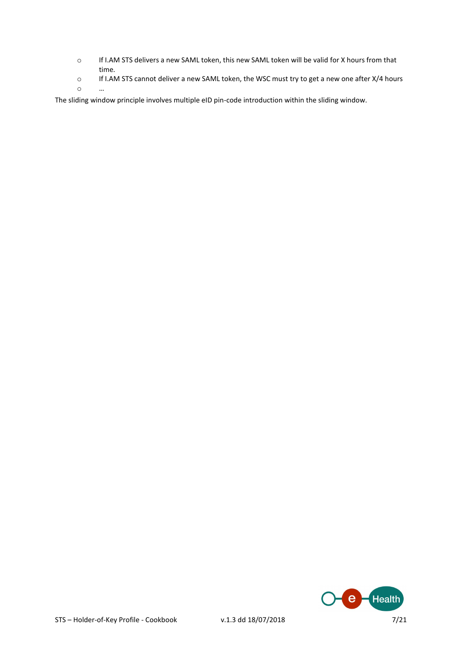- o If I.AM STS delivers a new SAML token, this new SAML token will be valid for X hours from that time.
- o If I.AM STS cannot deliver a new SAML token, the WSC must try to get a new one after X/4 hours o …

The sliding window principle involves multiple eID pin-code introduction within the sliding window.

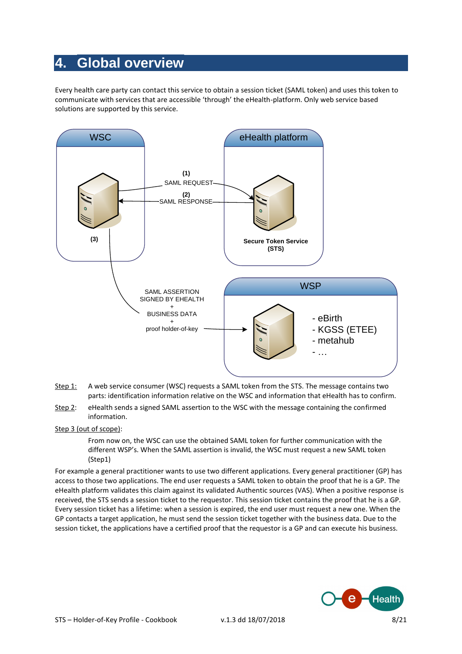# **4. Global overview**

Every health care party can contact this service to obtain a session ticket (SAML token) and uses this token to communicate with services that are accessible 'through' the eHealth-platform. Only web service based solutions are supported by this service.



- Step 1: A web service consumer (WSC) requests a SAML token from the STS. The message contains two parts: identification information relative on the WSC and information that eHealth has to confirm.
- Step 2: eHealth sends a signed SAML assertion to the WSC with the message containing the confirmed information.

#### Step 3 (out of scope):

From now on, the WSC can use the obtained SAML token for further communication with the different WSP's. When the SAML assertion is invalid, the WSC must request a new SAML token (Step1)

For example a general practitioner wants to use two different applications. Every general practitioner (GP) has access to those two applications. The end user requests a SAML token to obtain the proof that he is a GP. The eHealth platform validates this claim against its validated Authentic sources (VAS). When a positive response is received, the STS sends a session ticket to the requestor. This session ticket contains the proof that he is a GP. Every session ticket has a lifetime: when a session is expired, the end user must request a new one. When the GP contacts a target application, he must send the session ticket together with the business data. Due to the session ticket, the applications have a certified proof that the requestor is a GP and can execute his business.

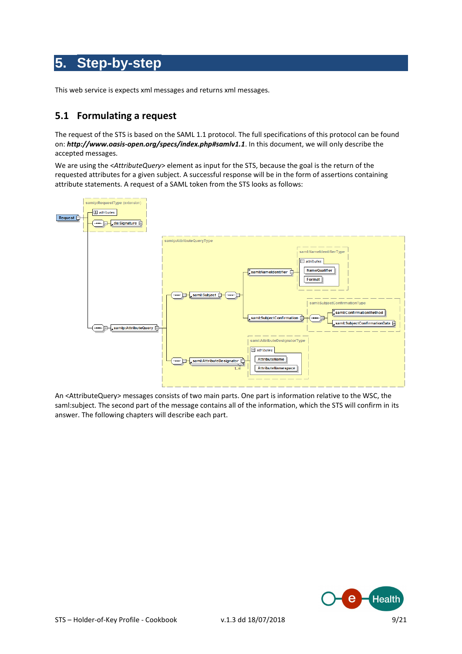# **5. Step-by-step**

This web service is expects xml messages and returns xml messages.

### **5.1 Formulating a request**

The request of the STS is based on the SAML 1.1 protocol. The full specifications of this protocol can be found on: *<http://www.oasis-open.org/specs/index.php#samlv1.1>*. In this document, we will only describe the accepted messages.

We are using the <*AttributeQuery*> element as input for the STS, because the goal is the return of the requested attributes for a given subject. A successful response will be in the form of assertions containing attribute statements. A request of a SAML token from the STS looks as follows:



An <AttributeQuery> messages consists of two main parts. One part is information relative to the WSC, the saml:subject. The second part of the message contains all of the information, which the STS will confirm in its answer. The following chapters will describe each part.

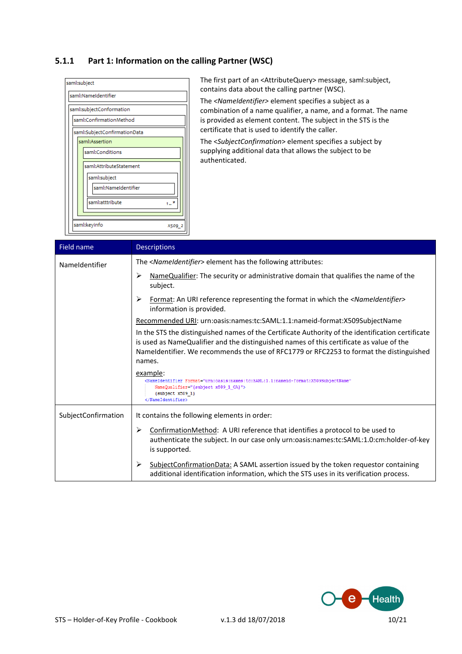#### **5.1.1 Part 1: Information on the calling Partner (WSC)**



The first part of an <AttributeQuery> message, saml:subject, contains data about the calling partner (WSC).

The *<NameIdentifier>* element specifies a subject as a combination of a name qualifier, a name, and a format. The name is provided as element content. The subject in the STS is the certificate that is used to identify the caller.

The <*SubjectConfirmation*> element specifies a subject by supplying additional data that allows the subject to be authenticated.

| Field name          | <b>Descriptions</b>                                                                                                                                                                                                                                                                                |
|---------------------|----------------------------------------------------------------------------------------------------------------------------------------------------------------------------------------------------------------------------------------------------------------------------------------------------|
| Nameldentifier      | The <nameidentifier> element has the following attributes:</nameidentifier>                                                                                                                                                                                                                        |
|                     | ➤<br>NameQualifier: The security or administrative domain that qualifies the name of the<br>subject.                                                                                                                                                                                               |
|                     | ➤<br>Format: An URI reference representing the format in which the <nameidentifier><br/>information is provided.</nameidentifier>                                                                                                                                                                  |
|                     | Recommended URI: urn:oasis:names:tc:SAML:1.1:nameid-format:X509SubjectName                                                                                                                                                                                                                         |
|                     | In the STS the distinguished names of the Certificate Authority of the identification certificate<br>is used as NameQualifier and the distinguished names of this certificate as value of the<br>Nameldentifier. We recommends the use of RFC1779 or RFC2253 to format the distinguished<br>names. |
|                     | example:<br><nameidentifier <br="" format="urn:oasis:names:tc:SAML:1.1:nameid-format:X509SubjectName">NameQualifier="{subject x509 1 CA}"&gt;<br/><math>\{subject x509 1\}</math><br/></nameidentifier>                                                                                            |
| SubjectConfirmation | It contains the following elements in order:                                                                                                                                                                                                                                                       |
|                     | ➤<br>ConfirmationMethod: A URI reference that identifies a protocol to be used to<br>authenticate the subject. In our case only urn:oasis:names:tc:SAML:1.0:cm:holder-of-key<br>is supported.                                                                                                      |
|                     | ➤<br>SubjectConfirmationData: A SAML assertion issued by the token requestor containing<br>additional identification information, which the STS uses in its verification process.                                                                                                                  |

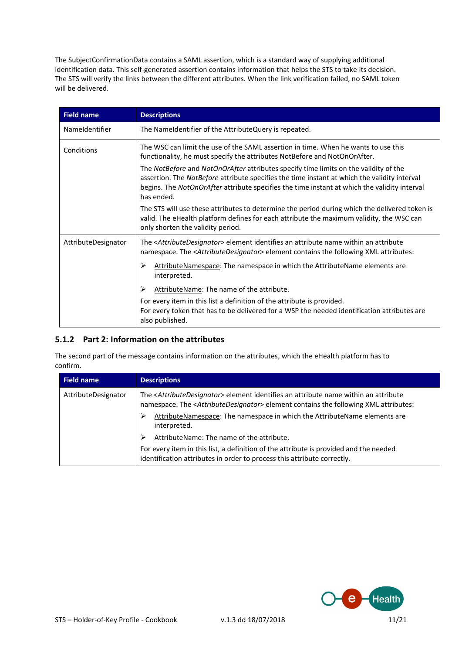The SubjectConfirmationData contains a SAML assertion, which is a standard way of supplying additional identification data. This self-generated assertion contains information that helps the STS to take its decision. The STS will verify the links between the different attributes. When the link verification failed, no SAML token will be delivered.

| <b>Field name</b>   | <b>Descriptions</b>                                                                                                                                                                                                                                                                                |
|---------------------|----------------------------------------------------------------------------------------------------------------------------------------------------------------------------------------------------------------------------------------------------------------------------------------------------|
| Nameldentifier      | The Nameldentifier of the AttributeQuery is repeated.                                                                                                                                                                                                                                              |
| Conditions          | The WSC can limit the use of the SAML assertion in time. When he wants to use this<br>functionality, he must specify the attributes NotBefore and NotOnOrAfter.                                                                                                                                    |
|                     | The NotBefore and NotOnOrAfter attributes specify time limits on the validity of the<br>assertion. The NotBefore attribute specifies the time instant at which the validity interval<br>begins. The NotOnOrAfter attribute specifies the time instant at which the validity interval<br>has ended. |
|                     | The STS will use these attributes to determine the period during which the delivered token is<br>valid. The eHealth platform defines for each attribute the maximum validity, the WSC can<br>only shorten the validity period.                                                                     |
| AttributeDesignator | The <attributedesignator> element identifies an attribute name within an attribute<br/>namespace. The <attributedesignator> element contains the following XML attributes:</attributedesignator></attributedesignator>                                                                             |
|                     | AttributeNamespace: The namespace in which the AttributeName elements are<br>⋗<br>interpreted.                                                                                                                                                                                                     |
|                     | AttributeName: The name of the attribute.<br>⋗                                                                                                                                                                                                                                                     |
|                     | For every item in this list a definition of the attribute is provided.<br>For every token that has to be delivered for a WSP the needed identification attributes are<br>also published.                                                                                                           |

### **5.1.2 Part 2: Information on the attributes**

The second part of the message contains information on the attributes, which the eHealth platform has to confirm.

| Field name          | <b>Descriptions</b>                                                                                                                                                                                                    |
|---------------------|------------------------------------------------------------------------------------------------------------------------------------------------------------------------------------------------------------------------|
| AttributeDesignator | The <attributedesignator> element identifies an attribute name within an attribute<br/>namespace. The <attributedesignator> element contains the following XML attributes:</attributedesignator></attributedesignator> |
|                     | AttributeNamespace: The namespace in which the AttributeName elements are<br>⋗<br>interpreted.                                                                                                                         |
|                     | AttributeName: The name of the attribute.                                                                                                                                                                              |
|                     | For every item in this list, a definition of the attribute is provided and the needed<br>identification attributes in order to process this attribute correctly.                                                       |

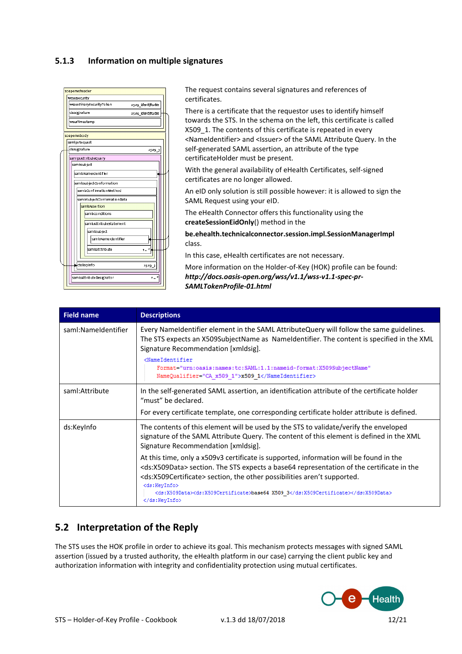#### **5.1.3 Information on multiple signatures**

|  |                                    |  |  | soapenvcheader               |                    |  |  |
|--|------------------------------------|--|--|------------------------------|--------------------|--|--|
|  |                                    |  |  | wsse:security                |                    |  |  |
|  |                                    |  |  | wsse:BinarySecurityToken     | x509 identificatie |  |  |
|  | ds:signature<br>x509 identificatie |  |  |                              |                    |  |  |
|  | vsurTimestamp                      |  |  |                              |                    |  |  |
|  |                                    |  |  |                              |                    |  |  |
|  |                                    |  |  | soapenvsbody                 |                    |  |  |
|  |                                    |  |  | samip:Request                |                    |  |  |
|  |                                    |  |  | ds:signature                 | X509 3             |  |  |
|  |                                    |  |  | samip:AttributeQuery         |                    |  |  |
|  |                                    |  |  | samissubject                 |                    |  |  |
|  |                                    |  |  | sami: Name Identifie r       |                    |  |  |
|  |                                    |  |  |                              |                    |  |  |
|  | sam IssubjectConformation          |  |  |                              |                    |  |  |
|  |                                    |  |  | sami:ConfirmationMethod      |                    |  |  |
|  |                                    |  |  | sami:SubjectConfirmationData |                    |  |  |
|  |                                    |  |  | samitAssertion               |                    |  |  |
|  |                                    |  |  | sam laCo nditio ns           |                    |  |  |
|  |                                    |  |  | sami:AttributeStatement      |                    |  |  |
|  |                                    |  |  | saml:subject                 |                    |  |  |
|  |                                    |  |  | saml:NameIdentifier          |                    |  |  |
|  |                                    |  |  | saml:atttribute              | ۰., ۰              |  |  |
|  |                                    |  |  |                              |                    |  |  |
|  |                                    |  |  | ds:keyinfo                   | x509 3             |  |  |
|  |                                    |  |  |                              |                    |  |  |
|  |                                    |  |  | sami: Attribute Designator   | $1 - x$            |  |  |

The request contains several signatures and references of certificates.

There is a certificate that the requestor uses to identify himself towards the STS. In the schema on the left, this certificate is called X509 1. The contents of this certificate is repeated in every <NameIdentifier> and <Issuer> of the SAML Attribute Query. In the self-generated SAML assertion, an attribute of the type certificateHolder must be present.

With the general availability of eHealth Certificates, self-signed certificates are no longer allowed.

An eID only solution is still possible however: it is allowed to sign the SAML Request using your eID.

The eHealth Connector offers this functionality using the **createSessionEidOnly**() method in the

**be.ehealth.technicalconnector.session.impl.SessionManagerImpl**  class.

In this case, eHealth certificates are not necessary.

More information on the Holder-of-Key (HOK) profile can be found: *[http://docs.oasis-open.org/wss/v1.1/wss-v1.1-spec-pr-](http://docs.oasis-open.org/wss/v1.1/wss-v1.1-spec-pr-SAMLTokenProfile-01.html)[SAMLTokenProfile-01.html](http://docs.oasis-open.org/wss/v1.1/wss-v1.1-spec-pr-SAMLTokenProfile-01.html)*

| <b>Field name</b>   | <b>Descriptions</b>                                                                                                                                                                                                                                                                                                                                                                                                        |
|---------------------|----------------------------------------------------------------------------------------------------------------------------------------------------------------------------------------------------------------------------------------------------------------------------------------------------------------------------------------------------------------------------------------------------------------------------|
| saml:NameIdentifier | Every Nameldentifier element in the SAML AttributeQuery will follow the same guidelines.<br>The STS expects an X509SubjectName as Nameldentifier. The content is specified in the XML<br>Signature Recommendation [xmldsig].<br><nameidentifier<br>Format="urn:oasis:names:tc:SAML:1.1:nameid-format:X509SubjectName"<br/>NameQualifier="CA x509 1"&gt;x509 1</nameidentifier<br>                                          |
| saml:Attribute      | In the self-generated SAML assertion, an identification attribute of the certificate holder<br>"must" be declared.<br>For every certificate template, one corresponding certificate holder attribute is defined.                                                                                                                                                                                                           |
| ds:KeyInfo          | The contents of this element will be used by the STS to validate/verify the enveloped<br>signature of the SAML Attribute Query. The content of this element is defined in the XML<br>Signature Recommendation [xmldsig].                                                                                                                                                                                                   |
|                     | At this time, only a x509v3 certificate is supported, information will be found in the<br><ds:x509data> section. The STS expects a base64 representation of the certificate in the<br/><ds:x509certificate> section, the other possibilities aren't supported.<br/><ds:keyinfo><br/><ds:x509data><ds:x509certificate>base64 X509 3</ds:x509certificate></ds:x509data><br/></ds:keyinfo></ds:x509certificate></ds:x509data> |

## **5.2 Interpretation of the Reply**

The STS uses the HOK profile in order to achieve its goal. This mechanism protects messages with signed SAML assertion (issued by a trusted authority, the eHealth platform in our case) carrying the client public key and authorization information with integrity and confidentiality protection using mutual certificates.

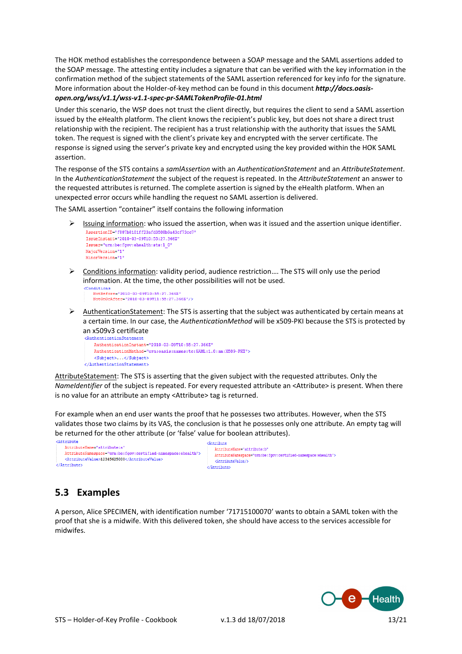The HOK method establishes the correspondence between a SOAP message and the SAML assertions added to the SOAP message. The attesting entity includes a signature that can be verified with the key information in the confirmation method of the subject statements of the SAML assertion referenced for key info for the signature. More information about the Holder-of-key method can be found in this document *[http://docs.oasis-](http://docs.oasis-open.org/wss/v1.1/wss-v1.1-spec-pr-SAMLTokenProfile-01.html)*

#### *[open.org/wss/v1.1/wss-v1.1-spec-pr-SAMLTokenProfile-01.html](http://docs.oasis-open.org/wss/v1.1/wss-v1.1-spec-pr-SAMLTokenProfile-01.html)*

Under this scenario, the WSP does not trust the client directly, but requires the client to send a SAML assertion issued by the eHealth platform. The client knows the recipient's public key, but does not share a direct trust relationship with the recipient. The recipient has a trust relationship with the authority that issues the SAML token. The request is signed with the client's private key and encrypted with the server certificate. The response is signed using the server's private key and encrypted using the key provided within the HOK SAML assertion.

The response of the STS contains a *samlAssertion* with an *AuthenticationStatement* and an *AttributeStatement*. In the *AuthenticationStatement* the subject of the request is repeated. In the *AttributeStatement* an answer to the requested attributes is returned. The complete assertion is signed by the eHealth platform. When an unexpected error occurs while handling the request no SAML assertion is delivered.

The SAML assertion "container" itself contains the following information

- $\triangleright$  Issuing information: who issued the assertion, when was it issued and the assertion unique identifier. Assertion TD="f887b8101ff23afd3508b9a43cf73cc7" TasueTnatant="2010-03-09T10:55:27.366Z" Issuer="urn:be:foov:ehealth:sts:1 0" MajorVersion="1" MinorVersion="1
- $\triangleright$  Conditions information: validity period, audience restriction.... The STS will only use the period information. At the time, the other possibilities will not be used.

```
<Conditions
  NotOnOrAfter="2010-03-09T11:55:27.366Z"/>
```
 $\triangleright$  AuthenticationStatement: The STS is asserting that the subject was authenticated by certain means at a certain time. In our case, the *AuthenticationMethod* will be x509-PKI because the STS is protected by an x509v3 certificate

```
AuthenticationInstant="2010-03-09T10:55:27.366Z"
   AuthenticationMethod="urn:oasis:names:tc:SAML:1.0:am:X509-PKI">
    <Subject>...</Subject>
</AuthenticationStatement>
```
AttributeStatement: The STS is asserting that the given subject with the requested attributes. Only the *NameIdentifier* of the subject is repeated. For every requested attribute an <Attribute> is present. When there is no value for an attribute an empty <Attribute> tag is returned.

For example when an end user wants the proof that he possesses two attributes. However, when the STS validates those two claims by its VAS, the conclusion is that he possesses only one attribute. An empty tag will be returned for the other attribute (or 'false' value for boolean attributes).

KAttribute

```
22ttribute
   AttributeName="attribute:a
    AttributeNamespace="urn:be:fgov:certified-namespace:ehealth">
    <br />
ZattributeValue>12345625000</AttributeValue>
</Attribute>
```
AttributeName="attribute:b" AttributeNamespace="urn:be:fgov:certified-namespace:ehealth"> <AttributeValue/>  $\langle$ /Attribute>

## **5.3 Examples**

A person, Alice SPECIMEN, with identification number '71715100070' wants to obtain a SAML token with the proof that she is a midwife. With this delivered token, she should have access to the services accessible for midwifes.

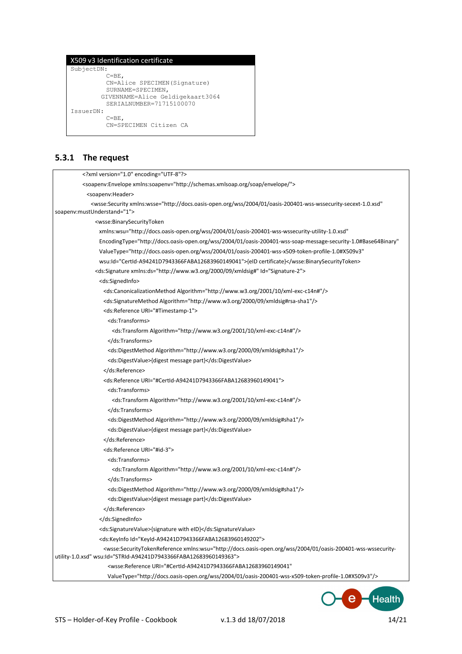#### X509 v3 Identification certificate SubjectDN:  $C = BE$ . CN=Alice SPECIMEN(Signature) SURNAME=SPECIMEN, GIVENNAME=Alice Geldigekaart3064 SERIALNUMBER=71715100070 IssuerDN:  $C = \mathbb{R}E$ . CN=SPECIMEN Citizen CA

#### **5.3.1 The request**

```
<?xml version="1.0" encoding="UTF-8"?>
          <soapenv:Envelope xmlns:soapenv="http://schemas.xmlsoap.org/soap/envelope/">
            <soapenv:Header>
             <wsse:Security xmlns:wsse="http://docs.oasis-open.org/wss/2004/01/oasis-200401-wss-wssecurity-secext-1.0.xsd"
soapenv:mustUnderstand="1">
               <wsse:BinarySecurityToken 
                 xmlns:wsu="http://docs.oasis-open.org/wss/2004/01/oasis-200401-wss-wssecurity-utility-1.0.xsd" 
                 EncodingType="http://docs.oasis-open.org/wss/2004/01/oasis-200401-wss-soap-message-security-1.0#Base64Binary" 
                 ValueType="http://docs.oasis-open.org/wss/2004/01/oasis-200401-wss-x509-token-profile-1.0#X509v3" 
                 wsu:Id="CertId-A94241D7943366FABA12683960149041">{eID certificate}</wsse:BinarySecurityToken>
               <ds:Signature xmlns:ds="http://www.w3.org/2000/09/xmldsig#" Id="Signature-2">
                 <ds:SignedInfo>
                  <ds:CanonicalizationMethod Algorithm="http://www.w3.org/2001/10/xml-exc-c14n#"/>
                  <ds:SignatureMethod Algorithm="http://www.w3.org/2000/09/xmldsig#rsa-sha1"/>
                  <ds:Reference URI="#Timestamp-1">
                    <ds:Transforms>
                     <ds:Transform Algorithm="http://www.w3.org/2001/10/xml-exc-c14n#"/>
                    </ds:Transforms>
                    <ds:DigestMethod Algorithm="http://www.w3.org/2000/09/xmldsig#sha1"/>
                    <ds:DigestValue>{digest message part}</ds:DigestValue>
                   </ds:Reference>
                  <ds:Reference URI="#CertId-A94241D7943366FABA12683960149041">
                    <ds:Transforms>
                      <ds:Transform Algorithm="http://www.w3.org/2001/10/xml-exc-c14n#"/>
                    </ds:Transforms>
                    <ds:DigestMethod Algorithm="http://www.w3.org/2000/09/xmldsig#sha1"/>
                    <ds:DigestValue>{digest message part}</ds:DigestValue>
                   </ds:Reference>
                  <ds:Reference URI="#id-3">
                    <ds:Transforms>
                     <ds:Transform Algorithm="http://www.w3.org/2001/10/xml-exc-c14n#"/>
                    </ds:Transforms>
                    <ds:DigestMethod Algorithm="http://www.w3.org/2000/09/xmldsig#sha1"/>
                    <ds:DigestValue>{digest message part}</ds:DigestValue>
                  </ds:Reference>
                 </ds:SignedInfo>
                 <ds:SignatureValue>{signature with eID}</ds:SignatureValue>
                 <ds:KeyInfo Id="KeyId-A94241D7943366FABA12683960149202">
                   <wsse:SecurityTokenReference xmlns:wsu="http://docs.oasis-open.org/wss/2004/01/oasis-200401-wss-wssecurity-
utility-1.0.xsd" wsu:Id="STRId-A94241D7943366FABA12683960149363">
                    <wsse:Reference URI="#CertId-A94241D7943366FABA12683960149041" 
                    ValueType="http://docs.oasis-open.org/wss/2004/01/oasis-200401-wss-x509-token-profile-1.0#X509v3"/>
```
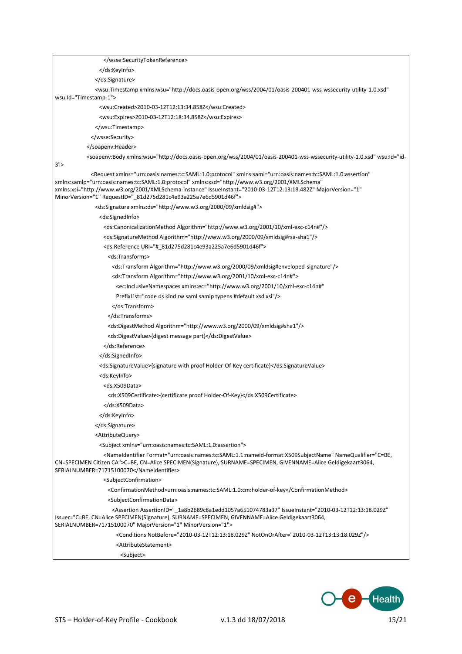| <wsu:timestamp <="" td="" xmlns:wsu="http://docs.oasis-open.org/wss/2004/01/oasis-200401-wss-wssecurity-utility-1.0.xsd"></wsu:timestamp>                                                                                                                                                                                                                                                                           |
|---------------------------------------------------------------------------------------------------------------------------------------------------------------------------------------------------------------------------------------------------------------------------------------------------------------------------------------------------------------------------------------------------------------------|
| wsu:Id="Timestamp-1">                                                                                                                                                                                                                                                                                                                                                                                               |
| <wsu:created>2010-03-12T12:13:34.858Z</wsu:created>                                                                                                                                                                                                                                                                                                                                                                 |
| <wsu:expires>2010-03-12T12:18:34.858Z</wsu:expires>                                                                                                                                                                                                                                                                                                                                                                 |
|                                                                                                                                                                                                                                                                                                                                                                                                                     |
|                                                                                                                                                                                                                                                                                                                                                                                                                     |
|                                                                                                                                                                                                                                                                                                                                                                                                                     |
| <soapenv:body <="" td="" wsu:id="id-&lt;/td&gt;&lt;/tr&gt;&lt;tr&gt;&lt;td&gt;3" xmlns:wsu="http://docs.oasis-open.org/wss/2004/01/oasis-200401-wss-wssecurity-utility-1.0.xsd"></soapenv:body>                                                                                                                                                                                                                     |
| <request <br="" xmlns="urn:oasis:names:tc:SAML:1.0:protocol" xmlns:saml="urn:oasis:names:tc:SAML:1.0:assertion">xmlns:samlp="urn:oasis:names:tc:SAML:1.0:protocol" xmlns:xsd="http://www.w3.org/2001/XMLSchema"<br/>xmlns:xsi="http://www.w3.org/2001/XMLSchema-instance" IssueInstant="2010-03-12T12:13:18.482Z" MajorVersion="1"<br/>MinorVersion="1" RequestID="_81d275d281c4e93a225a7e6d5901d46f"&gt;</request> |
| <ds:signature xmlns:ds="http://www.w3.org/2000/09/xmldsig#"></ds:signature>                                                                                                                                                                                                                                                                                                                                         |
| <ds:signedinfo></ds:signedinfo>                                                                                                                                                                                                                                                                                                                                                                                     |
| <ds:canonicalizationmethod algorithm="http://www.w3.org/2001/10/xml-exc-c14n#"></ds:canonicalizationmethod>                                                                                                                                                                                                                                                                                                         |
| <ds:signaturemethod algorithm="http://www.w3.org/2000/09/xmldsig#rsa-sha1"></ds:signaturemethod>                                                                                                                                                                                                                                                                                                                    |
| <ds:reference uri="#_81d275d281c4e93a225a7e6d5901d46f"></ds:reference>                                                                                                                                                                                                                                                                                                                                              |
| <ds:transforms></ds:transforms>                                                                                                                                                                                                                                                                                                                                                                                     |
| <ds:transform algorithm="http://www.w3.org/2000/09/xmldsig#enveloped-signature"></ds:transform>                                                                                                                                                                                                                                                                                                                     |
| <ds:transform algorithm="http://www.w3.org/2001/10/xml-exc-c14n#"></ds:transform>                                                                                                                                                                                                                                                                                                                                   |
| <ec:inclusivenamespaces <="" td="" xmlns:ec="http://www.w3.org/2001/10/xml-exc-c14n#"></ec:inclusivenamespaces>                                                                                                                                                                                                                                                                                                     |
| PrefixList="code ds kind rw saml samlp typens #default xsd xsi"/>                                                                                                                                                                                                                                                                                                                                                   |
|                                                                                                                                                                                                                                                                                                                                                                                                                     |
|                                                                                                                                                                                                                                                                                                                                                                                                                     |
| <ds:digestmethod algorithm="http://www.w3.org/2000/09/xmldsig#sha1"></ds:digestmethod>                                                                                                                                                                                                                                                                                                                              |
| <ds:digestvalue>{digest message part}</ds:digestvalue>                                                                                                                                                                                                                                                                                                                                                              |
|                                                                                                                                                                                                                                                                                                                                                                                                                     |
|                                                                                                                                                                                                                                                                                                                                                                                                                     |
| <ds:signaturevalue>{signature with proof Holder-Of-Key certificate}</ds:signaturevalue>                                                                                                                                                                                                                                                                                                                             |
| <ds:keyinfo></ds:keyinfo>                                                                                                                                                                                                                                                                                                                                                                                           |
| <ds:x509data></ds:x509data>                                                                                                                                                                                                                                                                                                                                                                                         |
| <ds:x509certificate>{certificate proof Holder-Of-Key}</ds:x509certificate>                                                                                                                                                                                                                                                                                                                                          |
|                                                                                                                                                                                                                                                                                                                                                                                                                     |
|                                                                                                                                                                                                                                                                                                                                                                                                                     |
|                                                                                                                                                                                                                                                                                                                                                                                                                     |
| <attributequery></attributequery>                                                                                                                                                                                                                                                                                                                                                                                   |
| <subject xmlns="urn:oasis:names:tc:SAML:1.0:assertion"></subject>                                                                                                                                                                                                                                                                                                                                                   |
| <nameidentifier format="urn:oasis:names:tc:SAML:1.1:nameid-format:X509SubjectName" namequalifier="C=BE,&lt;/td&gt;&lt;/tr&gt;&lt;tr&gt;&lt;td&gt;CN=SPECIMEN Citizen CA">C=BE, CN=Alice SPECIMEN(Signature), SURNAME=SPECIMEN, GIVENNAME=Alice Geldigekaart3064,<br/>SERIALNUMBER=71715100070</nameidentifier>                                                                                                      |
| <subjectconfirmation></subjectconfirmation>                                                                                                                                                                                                                                                                                                                                                                         |
| <confirmationmethod>urn:oasis:names:tc:SAML:1.0:cm:holder-of-key</confirmationmethod>                                                                                                                                                                                                                                                                                                                               |
| <subjectconfirmationdata></subjectconfirmationdata>                                                                                                                                                                                                                                                                                                                                                                 |
| <assertion <br="" assertionid="_1a8b2689c8a1edd1057a651074783a37" issueinstant="2010-03-12T12:13:18.029Z">Issuer="C=BE, CN=Alice SPECIMEN(Signature), SURNAME=SPECIMEN, GIVENNAME=Alice Geldigekaart3064,<br/>SERIALNUMBER=71715100070" MajorVersion="1" MinorVersion="1"&gt;</assertion>                                                                                                                           |
| <conditions notbefore="2010-03-12T12:13:18.029Z" notonorafter="2010-03-12T13:13:18.029Z"></conditions>                                                                                                                                                                                                                                                                                                              |
| <attributestatement></attributestatement>                                                                                                                                                                                                                                                                                                                                                                           |
| <subject></subject>                                                                                                                                                                                                                                                                                                                                                                                                 |

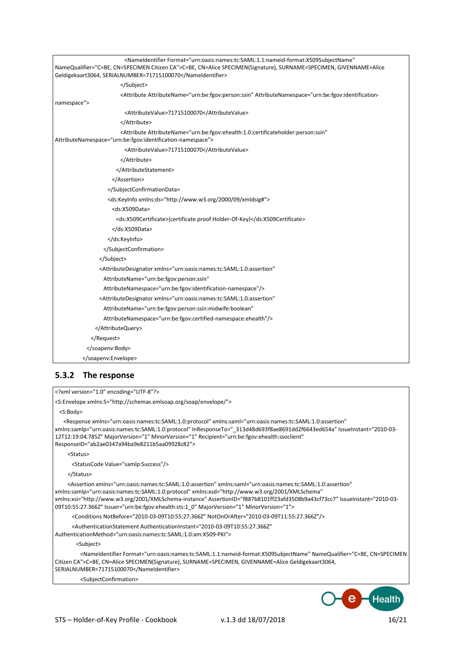| <br><attribute attributename="urn:be:fgov:person:ssin" attributenamespace="urn:be:fgov:identification-&lt;br&gt;&lt;AttributeValue&gt;71715100070&lt;/AttributeValue&gt;&lt;br&gt;&lt;/Attribute&gt;&lt;br&gt;&lt;Attribute AttributeName=" urn:be:fgov:ehealth:1.0:certificateholder:person:ssin"<br=""><attributevalue>71715100070</attributevalue><br/></attribute><br><br><br><br><ds:keyinfo xmlns:ds="http://www.w3.org/2000/09/xmldsig#"><br/><ds:x509data><br/><ds:x509certificate>{certificate proof Holder-Of-Key}</ds:x509certificate><br/></ds:x509data><br/></ds:keyinfo><br><br><br><attributedesignator <br="" xmlns="urn:oasis:names:tc:SAML:1.0:assertion">AttributeName="urn:be:fgov:person:ssin"<br/>AttributeNamespace="urn:be:fgov:identification-namespace"/&gt;<br/><attributedesignator <br="" xmlns="urn:oasis:names:tc:SAML:1.0:assertion">AttributeName="urn:be:fgov:person:ssin:midwife:boolean"<br/>AttributeNamespace="urn:be:fgov:certified-namespace:ehealth"/&gt;<br/><br/><br/></attributedesignator></attributedesignator> | <nameidentifier <br="" format="urn:oasis:names:tc:SAML:1.1:nameid-format:X509SubjectName">NameQualifier="C=BE, CN=SPECIMEN Citizen CA"&gt;C=BE, CN=Alice SPECIMEN(Signature), SURNAME=SPECIMEN, GIVENNAME=Alice<br/>Geldigekaart3064, SERIALNUMBER=71715100070</nameidentifier> |
|---------------------------------------------------------------------------------------------------------------------------------------------------------------------------------------------------------------------------------------------------------------------------------------------------------------------------------------------------------------------------------------------------------------------------------------------------------------------------------------------------------------------------------------------------------------------------------------------------------------------------------------------------------------------------------------------------------------------------------------------------------------------------------------------------------------------------------------------------------------------------------------------------------------------------------------------------------------------------------------------------------------------------------------------------------------|---------------------------------------------------------------------------------------------------------------------------------------------------------------------------------------------------------------------------------------------------------------------------------|
|                                                                                                                                                                                                                                                                                                                                                                                                                                                                                                                                                                                                                                                                                                                                                                                                                                                                                                                                                                                                                                                               |                                                                                                                                                                                                                                                                                 |
|                                                                                                                                                                                                                                                                                                                                                                                                                                                                                                                                                                                                                                                                                                                                                                                                                                                                                                                                                                                                                                                               |                                                                                                                                                                                                                                                                                 |
|                                                                                                                                                                                                                                                                                                                                                                                                                                                                                                                                                                                                                                                                                                                                                                                                                                                                                                                                                                                                                                                               | namespace">                                                                                                                                                                                                                                                                     |
|                                                                                                                                                                                                                                                                                                                                                                                                                                                                                                                                                                                                                                                                                                                                                                                                                                                                                                                                                                                                                                                               |                                                                                                                                                                                                                                                                                 |
|                                                                                                                                                                                                                                                                                                                                                                                                                                                                                                                                                                                                                                                                                                                                                                                                                                                                                                                                                                                                                                                               |                                                                                                                                                                                                                                                                                 |
|                                                                                                                                                                                                                                                                                                                                                                                                                                                                                                                                                                                                                                                                                                                                                                                                                                                                                                                                                                                                                                                               | AttributeNamespace="urn:be:fgov:identification-namespace">                                                                                                                                                                                                                      |
|                                                                                                                                                                                                                                                                                                                                                                                                                                                                                                                                                                                                                                                                                                                                                                                                                                                                                                                                                                                                                                                               |                                                                                                                                                                                                                                                                                 |
|                                                                                                                                                                                                                                                                                                                                                                                                                                                                                                                                                                                                                                                                                                                                                                                                                                                                                                                                                                                                                                                               |                                                                                                                                                                                                                                                                                 |
|                                                                                                                                                                                                                                                                                                                                                                                                                                                                                                                                                                                                                                                                                                                                                                                                                                                                                                                                                                                                                                                               |                                                                                                                                                                                                                                                                                 |
|                                                                                                                                                                                                                                                                                                                                                                                                                                                                                                                                                                                                                                                                                                                                                                                                                                                                                                                                                                                                                                                               |                                                                                                                                                                                                                                                                                 |
|                                                                                                                                                                                                                                                                                                                                                                                                                                                                                                                                                                                                                                                                                                                                                                                                                                                                                                                                                                                                                                                               |                                                                                                                                                                                                                                                                                 |
|                                                                                                                                                                                                                                                                                                                                                                                                                                                                                                                                                                                                                                                                                                                                                                                                                                                                                                                                                                                                                                                               |                                                                                                                                                                                                                                                                                 |
|                                                                                                                                                                                                                                                                                                                                                                                                                                                                                                                                                                                                                                                                                                                                                                                                                                                                                                                                                                                                                                                               |                                                                                                                                                                                                                                                                                 |
|                                                                                                                                                                                                                                                                                                                                                                                                                                                                                                                                                                                                                                                                                                                                                                                                                                                                                                                                                                                                                                                               |                                                                                                                                                                                                                                                                                 |
|                                                                                                                                                                                                                                                                                                                                                                                                                                                                                                                                                                                                                                                                                                                                                                                                                                                                                                                                                                                                                                                               |                                                                                                                                                                                                                                                                                 |
|                                                                                                                                                                                                                                                                                                                                                                                                                                                                                                                                                                                                                                                                                                                                                                                                                                                                                                                                                                                                                                                               |                                                                                                                                                                                                                                                                                 |
|                                                                                                                                                                                                                                                                                                                                                                                                                                                                                                                                                                                                                                                                                                                                                                                                                                                                                                                                                                                                                                                               |                                                                                                                                                                                                                                                                                 |
|                                                                                                                                                                                                                                                                                                                                                                                                                                                                                                                                                                                                                                                                                                                                                                                                                                                                                                                                                                                                                                                               |                                                                                                                                                                                                                                                                                 |
|                                                                                                                                                                                                                                                                                                                                                                                                                                                                                                                                                                                                                                                                                                                                                                                                                                                                                                                                                                                                                                                               |                                                                                                                                                                                                                                                                                 |
|                                                                                                                                                                                                                                                                                                                                                                                                                                                                                                                                                                                                                                                                                                                                                                                                                                                                                                                                                                                                                                                               |                                                                                                                                                                                                                                                                                 |
|                                                                                                                                                                                                                                                                                                                                                                                                                                                                                                                                                                                                                                                                                                                                                                                                                                                                                                                                                                                                                                                               |                                                                                                                                                                                                                                                                                 |
|                                                                                                                                                                                                                                                                                                                                                                                                                                                                                                                                                                                                                                                                                                                                                                                                                                                                                                                                                                                                                                                               |                                                                                                                                                                                                                                                                                 |
|                                                                                                                                                                                                                                                                                                                                                                                                                                                                                                                                                                                                                                                                                                                                                                                                                                                                                                                                                                                                                                                               |                                                                                                                                                                                                                                                                                 |
|                                                                                                                                                                                                                                                                                                                                                                                                                                                                                                                                                                                                                                                                                                                                                                                                                                                                                                                                                                                                                                                               |                                                                                                                                                                                                                                                                                 |
|                                                                                                                                                                                                                                                                                                                                                                                                                                                                                                                                                                                                                                                                                                                                                                                                                                                                                                                                                                                                                                                               |                                                                                                                                                                                                                                                                                 |
|                                                                                                                                                                                                                                                                                                                                                                                                                                                                                                                                                                                                                                                                                                                                                                                                                                                                                                                                                                                                                                                               |                                                                                                                                                                                                                                                                                 |
|                                                                                                                                                                                                                                                                                                                                                                                                                                                                                                                                                                                                                                                                                                                                                                                                                                                                                                                                                                                                                                                               |                                                                                                                                                                                                                                                                                 |
|                                                                                                                                                                                                                                                                                                                                                                                                                                                                                                                                                                                                                                                                                                                                                                                                                                                                                                                                                                                                                                                               |                                                                                                                                                                                                                                                                                 |

#### **5.3.2 The response**

<?xml version="1.0" encoding="UTF-8"?>

<S:Envelope xmlns:S="http://schemas.xmlsoap.org/soap/envelope/">

<S:Body>

 <Response xmlns="urn:oasis:names:tc:SAML:1.0:protocol" xmlns:saml="urn:oasis:names:tc:SAML:1.0:assertion" xmlns:samlp="urn:oasis:names:tc:SAML:1.0:protocol" InResponseTo="\_313d48d693f8ae8691dd2f6643ed654a" IssueInstant="2010-03- 12T12:19:04.785Z" MajorVersion="1" MinorVersion="1" Recipient="urn:be:fgov:ehealth:ssoclient" ResponseID="ab2ae0347a94ba9e8211b5aa09928c82">

<Status>

<StatusCode Value="samlp:Success"/>

</Status>

 <Assertion xmlns="urn:oasis:names:tc:SAML:1.0:assertion" xmlns:saml="urn:oasis:names:tc:SAML:1.0:assertion" xmlns:samlp="urn:oasis:names:tc:SAML:1.0:protocol" xmlns:xsd="http://www.w3.org/2001/XMLSchema" xmlns:xsi="http://www.w3.org/2001/XMLSchema-instance" AssertionID="f887b8101ff23afd3508b9a43cf73cc7" IssueInstant="2010-03- 09T10:55:27.366Z" Issuer="urn:be:fgov:ehealth:sts:1\_0" MajorVersion="1" MinorVersion="1">

<Conditions NotBefore="2010-03-09T10:55:27.366Z" NotOnOrAfter="2010-03-09T11:55:27.366Z"/>

<AuthenticationStatement AuthenticationInstant="2010-03-09T10:55:27.366Z"

AuthenticationMethod="urn:oasis:names:tc:SAML:1.0:am:X509-PKI">

<Subject>

 <NameIdentifier Format="urn:oasis:names:tc:SAML:1.1:nameid-format:X509SubjectName" NameQualifier="C=BE, CN=SPECIMEN Citizen CA">C=BE, CN=Alice SPECIMEN(Signature), SURNAME=SPECIMEN, GIVENNAME=Alice Geldigekaart3064, SERIALNUMBER=71715100070</NameIdentifier>

<SubjectConfirmation>

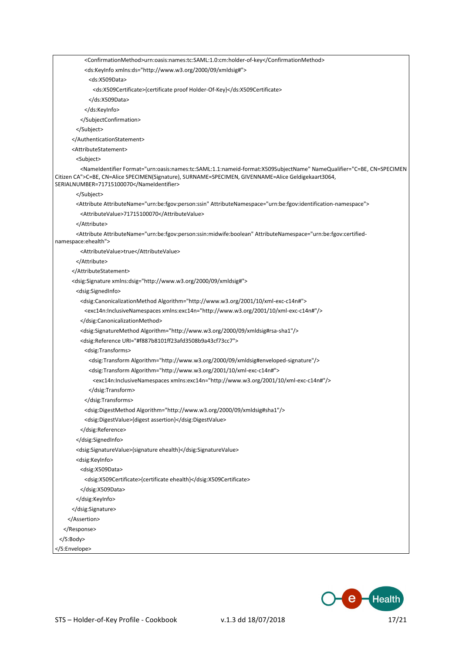<ConfirmationMethod>urn:oasis:names:tc:SAML:1.0:cm:holder-of-key</ConfirmationMethod> <ds:KeyInfo xmlns:ds="http://www.w3.org/2000/09/xmldsig#"> <ds:X509Data> <ds:X509Certificate>{certificate proof Holder-Of-Key}</ds:X509Certificate> </ds:X509Data> </ds:KeyInfo> </SubjectConfirmation> </Subject> </AuthenticationStatement> <AttributeStatement> <Subject> <NameIdentifier Format="urn:oasis:names:tc:SAML:1.1:nameid-format:X509SubjectName" NameQualifier="C=BE, CN=SPECIMEN Citizen CA">C=BE, CN=Alice SPECIMEN(Signature), SURNAME=SPECIMEN, GIVENNAME=Alice Geldigekaart3064, SERIALNUMBER=71715100070</NameIdentifier> </Subject> <Attribute AttributeName="urn:be:fgov:person:ssin" AttributeNamespace="urn:be:fgov:identification-namespace"> <AttributeValue>71715100070</AttributeValue> </Attribute> <Attribute AttributeName="urn:be:fgov:person:ssin:midwife:boolean" AttributeNamespace="urn:be:fgov:certifiednamespace:ehealth"> <AttributeValue>true</AttributeValue> </Attribute> </AttributeStatement> <dsig:Signature xmlns:dsig="http://www.w3.org/2000/09/xmldsig#"> <dsig:SignedInfo> <dsig:CanonicalizationMethod Algorithm="http://www.w3.org/2001/10/xml-exc-c14n#"> <exc14n:InclusiveNamespaces xmlns:exc14n="http://www.w3.org/2001/10/xml-exc-c14n#"/> </dsig:CanonicalizationMethod> <dsig:SignatureMethod Algorithm="http://www.w3.org/2000/09/xmldsig#rsa-sha1"/> <dsig:Reference URI="#f887b8101ff23afd3508b9a43cf73cc7"> <dsig:Transforms> <dsig:Transform Algorithm="http://www.w3.org/2000/09/xmldsig#enveloped-signature"/> <dsig:Transform Algorithm="http://www.w3.org/2001/10/xml-exc-c14n#"> <exc14n:InclusiveNamespaces xmlns:exc14n="http://www.w3.org/2001/10/xml-exc-c14n#"/> </dsig:Transform> </dsig:Transforms> <dsig:DigestMethod Algorithm="http://www.w3.org/2000/09/xmldsig#sha1"/> <dsig:DigestValue>{digest assertion}</dsig:DigestValue> </dsig:Reference> </dsig:SignedInfo> <dsig:SignatureValue>{signature ehealth}</dsig:SignatureValue> <dsig:KeyInfo> <dsig:X509Data> <dsig:X509Certificate>{certificate ehealth}</dsig:X509Certificate> </dsig:X509Data> </dsig:KeyInfo> </dsig:Signature> </Assertion> </Response> </S:Body>



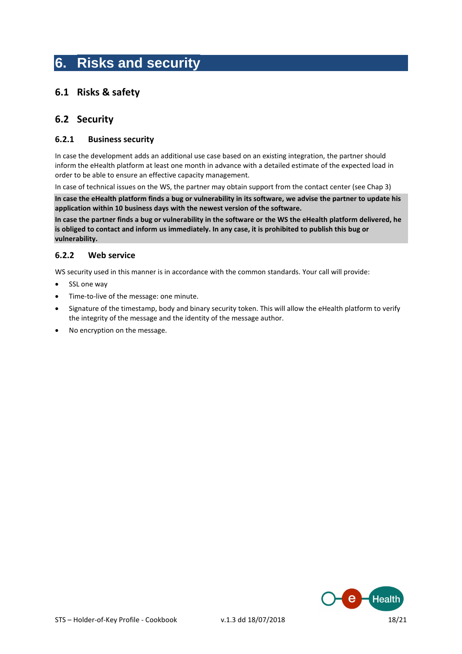# **6. Risks and security**

### **6.1 Risks & safety**

#### **6.2 Security**

#### **6.2.1 Business security**

In case the development adds an additional use case based on an existing integration, the partner should inform the eHealth platform at least one month in advance with a detailed estimate of the expected load in order to be able to ensure an effective capacity management.

In case of technical issues on the WS, the partner may obtain support from the contact center (see Chap 3)

**In case the eHealth platform finds a bug or vulnerability in its software, we advise the partner to update his application within 10 business days with the newest version of the software.**

**In case the partner finds a bug or vulnerability in the software or the WS the eHealth platform delivered, he is obliged to contact and inform us immediately. In any case, it is prohibited to publish this bug or vulnerability.**

#### **6.2.2 Web service**

WS security used in this manner is in accordance with the common standards. Your call will provide:

- SSL one way
- Time-to-live of the message: one minute.
- Signature of the timestamp, body and binary security token. This will allow the eHealth platform to verify the integrity of the message and the identity of the message author.
- No encryption on the message.

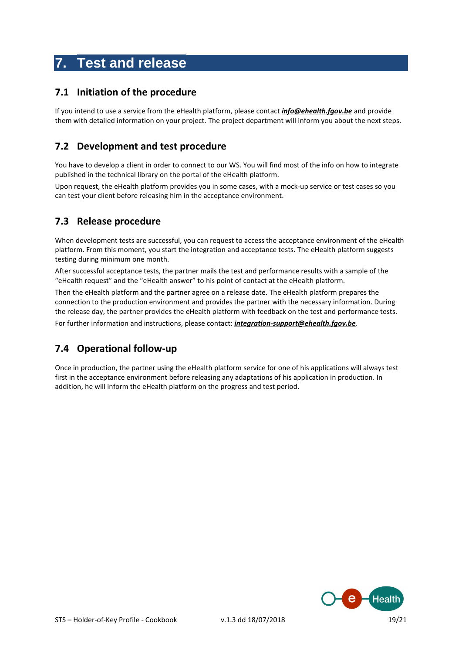## **7. Test and release**

### **7.1 Initiation of the procedure**

If you intend to use a service from the eHealth platform, please contact *[info@ehealth.fgov.be](mailto:info@ehealth.fgov.be)* and provide them with detailed information on your project. The project department will inform you about the next steps.

### **7.2 Development and test procedure**

You have to develop a client in order to connect to our WS. You will find most of the info on how to integrate published in the technical library on the portal of the eHealth platform.

Upon request, the eHealth platform provides you in some cases, with a mock-up service or test cases so you can test your client before releasing him in the acceptance environment.

### **7.3 Release procedure**

When development tests are successful, you can request to access the acceptance environment of the eHealth platform. From this moment, you start the integration and acceptance tests. The eHealth platform suggests testing during minimum one month.

After successful acceptance tests, the partner mails the test and performance results with a sample of the "eHealth request" and the "eHealth answer" to his point of contact at the eHealth platform.

Then the eHealth platform and the partner agree on a release date. The eHealth platform prepares the connection to the production environment and provides the partner with the necessary information. During the release day, the partner provides the eHealth platform with feedback on the test and performance tests.

For further information and instructions, please contact: *[integration-support@ehealth.fgov.be](mailto:integration-support@ehealth.fgov.be)*.

## **7.4 Operational follow-up**

Once in production, the partner using the eHealth platform service for one of his applications will always test first in the acceptance environment before releasing any adaptations of his application in production. In addition, he will inform the eHealth platform on the progress and test period.

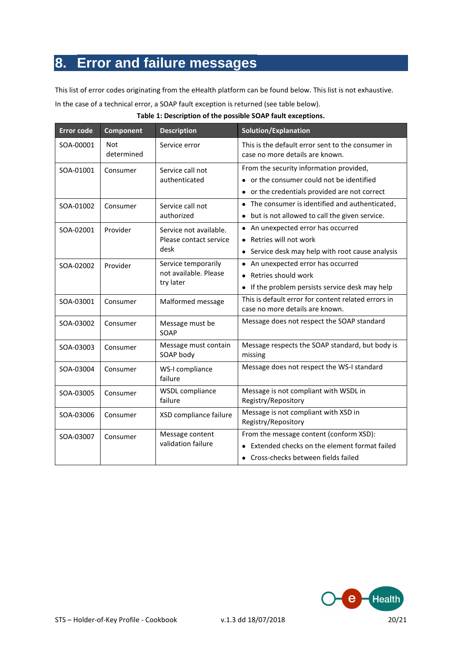# **8. Error and failure messages**

This list of error codes originating from the eHealth platform can be found below. This list is not exhaustive.

In the case of a technical error, a SOAP fault exception is returned (see table below).

|  | Table 1: Description of the possible SOAP fault exceptions. |
|--|-------------------------------------------------------------|
|--|-------------------------------------------------------------|

| <b>Error code</b> | Component                | <b>Description</b>                                        | Solution/Explanation                                                                                                                |
|-------------------|--------------------------|-----------------------------------------------------------|-------------------------------------------------------------------------------------------------------------------------------------|
| SOA-00001         | <b>Not</b><br>determined | Service error                                             | This is the default error sent to the consumer in<br>case no more details are known.                                                |
| SOA-01001         | Consumer                 | Service call not<br>authenticated                         | From the security information provided,<br>or the consumer could not be identified<br>• or the credentials provided are not correct |
| SOA-01002         | Consumer                 | Service call not<br>authorized                            | • The consumer is identified and authenticated,<br>but is not allowed to call the given service.                                    |
| SOA-02001         | Provider                 | Service not available.<br>Please contact service<br>desk  | • An unexpected error has occurred<br>• Retries will not work<br>• Service desk may help with root cause analysis                   |
| SOA-02002         | Provider                 | Service temporarily<br>not available. Please<br>try later | • An unexpected error has occurred<br>• Retries should work<br>• If the problem persists service desk may help                      |
| SOA-03001         | Consumer                 | Malformed message                                         | This is default error for content related errors in<br>case no more details are known.                                              |
| SOA-03002         | Consumer                 | Message must be<br>SOAP                                   | Message does not respect the SOAP standard                                                                                          |
| SOA-03003         | Consumer                 | Message must contain<br>SOAP body                         | Message respects the SOAP standard, but body is<br>missing                                                                          |
| SOA-03004         | Consumer                 | WS-I compliance<br>failure                                | Message does not respect the WS-I standard                                                                                          |
| SOA-03005         | Consumer                 | <b>WSDL</b> compliance<br>failure                         | Message is not compliant with WSDL in<br>Registry/Repository                                                                        |
| SOA-03006         | Consumer                 | XSD compliance failure                                    | Message is not compliant with XSD in<br>Registry/Repository                                                                         |
| SOA-03007         | Consumer                 | Message content<br>validation failure                     | From the message content (conform XSD):<br>Extended checks on the element format failed<br>• Cross-checks between fields failed     |